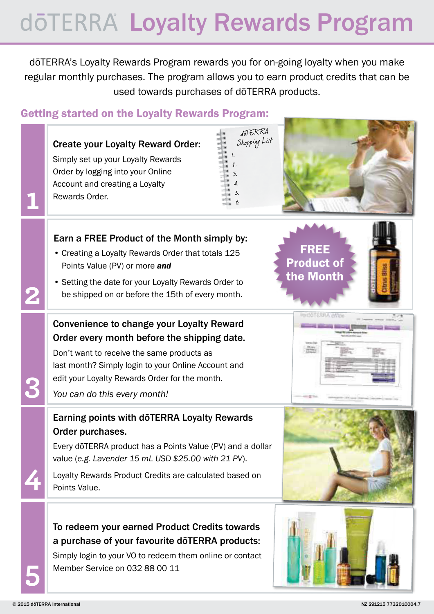# dōTERRA Loyalty Rewards Program

dōTERRA's Loyalty Rewards Program rewards you for on-going loyalty when you make regular monthly purchases. The program allows you to earn product credits that can be used towards purchases of dōTERRA products.

### Getting started on the Loyalty Rewards Program:

| döTERRA<br>Shopping List<br><b>Create your Loyalty Reward Order:</b><br>Simply set up your Loyalty Rewards<br>Order by logging into your Online<br>Account and creating a Loyalty<br>Rewards Order.                                                                                             |
|-------------------------------------------------------------------------------------------------------------------------------------------------------------------------------------------------------------------------------------------------------------------------------------------------|
| Earn a FREE Product of the Month simply by:<br><b>FREE</b><br>• Creating a Loyalty Rewards Order that totals 125<br><b>Product of</b><br>Points Value (PV) or more and<br>the Month<br>• Setting the date for your Loyalty Rewards Order to<br>be shipped on or before the 15th of every month. |
| <b>Convenience to change your Loyalty Reward</b><br>Order every month before the shipping date.<br>Don't want to receive the same products as<br>last month? Simply login to your Online Account and<br>edit your Loyalty Rewards Order for the month.<br>You can do this every month!          |
| Earning points with dōTERRA Loyalty Rewards<br>Order purchases.<br>Every doTERRA product has a Points Value (PV) and a dollar<br>value (e.g. Lavender 15 mL USD \$25.00 with 21 PV).<br>Loyalty Rewards Product Credits are calculated based on<br>Points Value.                                |
| To redeem your earned Product Credits towards<br>a purchase of your favourite dōTERRA products:<br>Simply login to your VO to redeem them online or contact<br>Member Service on 032 88 00 11                                                                                                   |